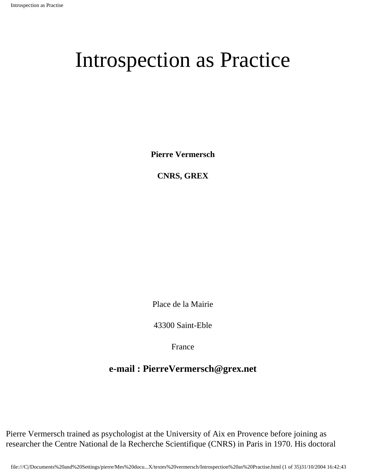**Pierre Vermersch**

**CNRS, GREX**

Place de la Mairie

43300 Saint-Eble

France

# **e-mail : PierreVermersch@grex.net**

Pierre Vermersch trained as psychologist at the University of Aix en Provence before joining as researcher the Centre National de la Recherche Scientifique (CNRS) in Paris in 1970. His doctoral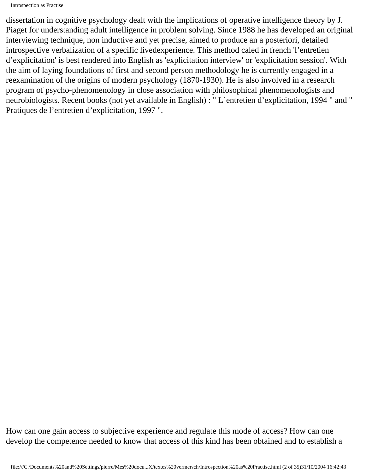dissertation in cognitive psychology dealt with the implications of operative intelligence theory by J. Piaget for understanding adult intelligence in problem solving. Since 1988 he has developed an original interviewing technique, non inductive and yet precise, aimed to produce an a posteriori, detailed introspective verbalization of a specific livedexperience. This method caled in french 'l'entretien d'explicitation' is best rendered into English as 'explicitation interview' or 'explicitation session'. With the aim of laying foundations of first and second person methodology he is currently engaged in a reexamination of the origins of modern psychology (1870-1930). He is also involved in a research program of psycho-phenomenology in close association with philosophical phenomenologists and neurobiologists. Recent books (not yet available in English) : " L'entretien d'explicitation, 1994 " and " Pratiques de l'entretien d'explicitation, 1997 ".

How can one gain access to subjective experience and regulate this mode of access? How can one develop the competence needed to know that access of this kind has been obtained and to establish a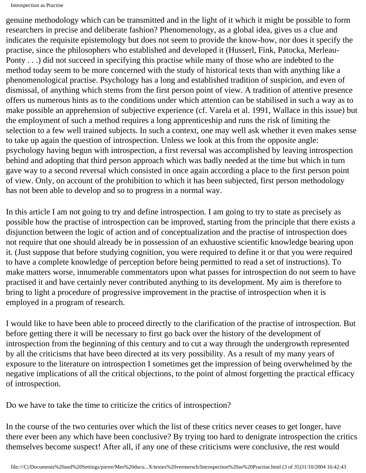genuine methodology which can be transmitted and in the light of it which it might be possible to form researchers in precise and deliberate fashion? Phenomenology, as a global idea, gives us a clue and indicates the requisite epistemology but does not seem to provide the know-how, nor does it specify the practise, since the philosophers who established and developed it (Husserl, Fink, Patocka, Merleau-Ponty . . .) did not succeed in specifying this practise while many of those who are indebted to the method today seem to be more concerned with the study of historical texts than with anything like a phenomenological practise. Psychology has a long and established tradition of suspicion, and even of dismissal, of anything which stems from the first person point of view. A tradition of attentive presence offers us numerous hints as to the conditions under which attention can be stabilised in such a way as to make possible an apprehension of subjective experience (cf. Varela et al. 1991, Wallace in this issue) but the employment of such a method requires a long apprenticeship and runs the risk of limiting the selection to a few well trained subjects. In such a context, one may well ask whether it even makes sense to take up again the question of introspection. Unless we look at this from the opposite angle: psychology having begun with introspection, a first reversal was accomplished by leaving introspection behind and adopting that third person approach which was badly needed at the time but which in turn gave way to a second reversal which consisted in once again according a place to the first person point of view. Only, on account of the prohibition to which it has been subjected, first person methodology has not been able to develop and so to progress in a normal way.

In this article I am not going to try and define introspection. I am going to try to state as precisely as possible how the practise of introspection can be improved, starting from the principle that there exists a disjunction between the logic of action and of conceptualization and the practise of introspection does not require that one should already be in possession of an exhaustive scientific knowledge bearing upon it. (Just suppose that before studying cognition, you were required to define it or that you were required to have a complete knowledge of perception before being permitted to read a set of instructions). To make matters worse, innumerable commentators upon what passes for introspection do not seem to have practised it and have certainly never contributed anything to its development. My aim is therefore to bring to light a procedure of progressive improvement in the practise of introspection when it is employed in a program of research.

I would like to have been able to proceed directly to the clarification of the practise of introspection. But before getting there it will be necessary to first go back over the history of the development of introspection from the beginning of this century and to cut a way through the undergrowth represented by all the criticisms that have been directed at its very possibility. As a result of my many years of exposure to the literature on introspection I sometimes get the impression of being overwhelmed by the negative implications of all the critical objections, to the point of almost forgetting the practical efficacy of introspection.

Do we have to take the time to criticize the critics of introspection?

In the course of the two centuries over which the list of these critics never ceases to get longer, have there ever been any which have been conclusive? By trying too hard to denigrate introspection the critics themselves become suspect! After all, if any one of these criticisms were conclusive, the rest would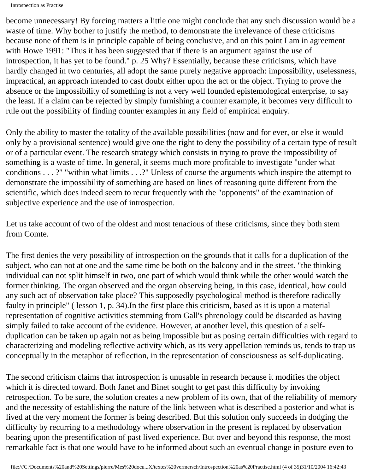become unnecessary! By forcing matters a little one might conclude that any such discussion would be a waste of time. Why bother to justify the method, to demonstrate the irrelevance of these criticisms because none of them is in principle capable of being conclusive, and on this point I am in agreement with Howe 1991: "Thus it has been suggested that if there is an argument against the use of introspection, it has yet to be found." p. 25 Why? Essentially, because these criticisms, which have hardly changed in two centuries, all adopt the same purely negative approach: impossibility, uselessness, impractical, an approach intended to cast doubt either upon the act or the object. Trying to prove the absence or the impossibility of something is not a very well founded epistemological enterprise, to say the least. If a claim can be rejected by simply furnishing a counter example, it becomes very difficult to rule out the possibility of finding counter examples in any field of empirical enquiry.

Only the ability to master the totality of the available possibilities (now and for ever, or else it would only by a provisional sentence) would give one the right to deny the possibility of a certain type of result or of a particular event. The research strategy which consists in trying to prove the impossibility of something is a waste of time. In general, it seems much more profitable to investigate "under what conditions . . . ?" "within what limits . . .?" Unless of course the arguments which inspire the attempt to demonstrate the impossibility of something are based on lines of reasoning quite different from the scientific, which does indeed seem to recur frequently with the "opponents" of the examination of subjective experience and the use of introspection.

Let us take account of two of the oldest and most tenacious of these criticisms, since they both stem from Comte.

The first denies the very possibility of introspection on the grounds that it calls for a duplication of the subject, who can not at one and the same time be both on the balcony and in the street. "the thinking individual can not split himself in two, one part of which would think while the other would watch the former thinking. The organ observed and the organ observing being, in this case, identical, how could any such act of observation take place? This supposedly psychological method is therefore radically faulty in principle" ( lesson 1, p. 34).In the first place this criticism, based as it is upon a material representation of cognitive activities stemming from Gall's phrenology could be discarded as having simply failed to take account of the evidence. However, at another level, this question of a selfduplication can be taken up again not as being impossible but as posing certain difficulties with regard to characterizing and modeling reflective activity which, as its very appellation reminds us, tends to trap us conceptually in the metaphor of reflection, in the representation of consciousness as self-duplicating.

The second criticism claims that introspection is unusable in research because it modifies the object which it is directed toward. Both Janet and Binet sought to get past this difficulty by invoking retrospection. To be sure, the solution creates a new problem of its own, that of the reliability of memory and the necessity of establishing the nature of the link between what is described a posterior and what is lived at the very moment the former is being described. But this solution only succeeds in dodging the difficulty by recurring to a methodology where observation in the present is replaced by observation bearing upon the presentification of past lived experience. But over and beyond this response, the most remarkable fact is that one would have to be informed about such an eventual change in posture even to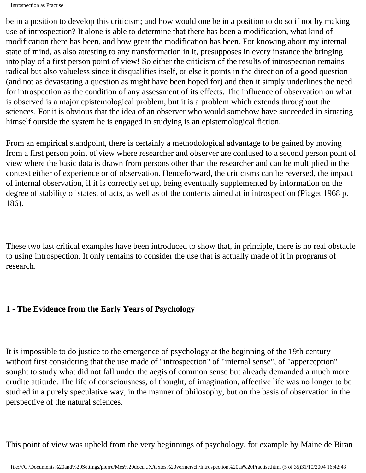be in a position to develop this criticism; and how would one be in a position to do so if not by making use of introspection? It alone is able to determine that there has been a modification, what kind of modification there has been, and how great the modification has been. For knowing about my internal state of mind, as also attesting to any transformation in it, presupposes in every instance the bringing into play of a first person point of view! So either the criticism of the results of introspection remains radical but also valueless since it disqualifies itself, or else it points in the direction of a good question (and not as devastating a question as might have been hoped for) and then it simply underlines the need for introspection as the condition of any assessment of its effects. The influence of observation on what is observed is a major epistemological problem, but it is a problem which extends throughout the sciences. For it is obvious that the idea of an observer who would somehow have succeeded in situating himself outside the system he is engaged in studying is an epistemological fiction.

From an empirical standpoint, there is certainly a methodological advantage to be gained by moving from a first person point of view where researcher and observer are confused to a second person point of view where the basic data is drawn from persons other than the researcher and can be multiplied in the context either of experience or of observation. Henceforward, the criticisms can be reversed, the impact of internal observation, if it is correctly set up, being eventually supplemented by information on the degree of stability of states, of acts, as well as of the contents aimed at in introspection (Piaget 1968 p. 186).

These two last critical examples have been introduced to show that, in principle, there is no real obstacle to using introspection. It only remains to consider the use that is actually made of it in programs of research.

#### **1 - The Evidence from the Early Years of Psychology**

It is impossible to do justice to the emergence of psychology at the beginning of the 19th century without first considering that the use made of "introspection" of "internal sense", of "apperception" sought to study what did not fall under the aegis of common sense but already demanded a much more erudite attitude. The life of consciousness, of thought, of imagination, affective life was no longer to be studied in a purely speculative way, in the manner of philosophy, but on the basis of observation in the perspective of the natural sciences.

This point of view was upheld from the very beginnings of psychology, for example by Maine de Biran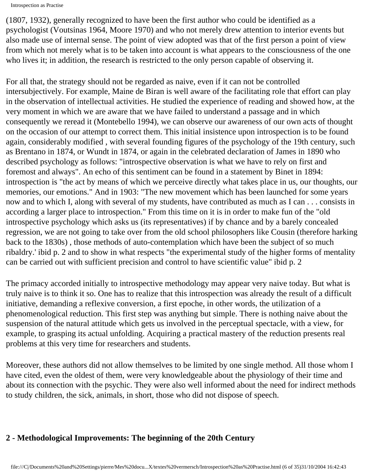```
Introspection as Practise
```
(1807, 1932), generally recognized to have been the first author who could be identified as a psychologist (Voutsinas 1964, Moore 1970) and who not merely drew attention to interior events but also made use of internal sense. The point of view adopted was that of the first person a point of view from which not merely what is to be taken into account is what appears to the consciousness of the one who lives it; in addition, the research is restricted to the only person capable of observing it.

For all that, the strategy should not be regarded as naive, even if it can not be controlled intersubjectively. For example, Maine de Biran is well aware of the facilitating role that effort can play in the observation of intellectual activities. He studied the experience of reading and showed how, at the very moment in which we are aware that we have failed to understand a passage and in which consequently we reread it (Montebello 1994), we can observe our awareness of our own acts of thought on the occasion of our attempt to correct them. This initial insistence upon introspection is to be found again, considerably modified , with several founding figures of the psychology of the 19th century, such as Brentano in 1874, or Wundt in 1874, or again in the celebrated declaration of James in 1890 who described psychology as follows: "introspective observation is what we have to rely on first and foremost and always". An echo of this sentiment can be found in a statement by Binet in 1894: introspection is "the act by means of which we perceive directly what takes place in us, our thoughts, our memories, our emotions." And in 1903: "The new movement which has been launched for some years now and to which I, along with several of my students, have contributed as much as I can . . . consists in according a larger place to introspection." From this time on it is in order to make fun of the "old introspective psychology which asks us (its representatives) if by chance and by a barely concealed regression, we are not going to take over from the old school philosophers like Cousin (therefore harking back to the 1830s) , those methods of auto-contemplation which have been the subject of so much ribaldry.' ibid p. 2 and to show in what respects "the experimental study of the higher forms of mentality can be carried out with sufficient precision and control to have scientific value" ibid p. 2

The primacy accorded initially to introspective methodology may appear very naive today. But what is truly naive is to think it so. One has to realize that this introspection was already the result of a difficult initiative, demanding a reflexive conversion, a first epoche, in other words, the utilization of a phenomenological reduction. This first step was anything but simple. There is nothing naive about the suspension of the natural attitude which gets us involved in the perceptual spectacle, with a view, for example, to grasping its actual unfolding. Acquiring a practical mastery of the reduction presents real problems at this very time for researchers and students.

Moreover, these authors did not allow themselves to be limited by one single method. All those whom I have cited, even the oldest of them, were very knowledgeable about the physiology of their time and about its connection with the psychic. They were also well informed about the need for indirect methods to study children, the sick, animals, in short, those who did not dispose of speech.

### **2 - Methodological Improvements: The beginning of the 20th Century**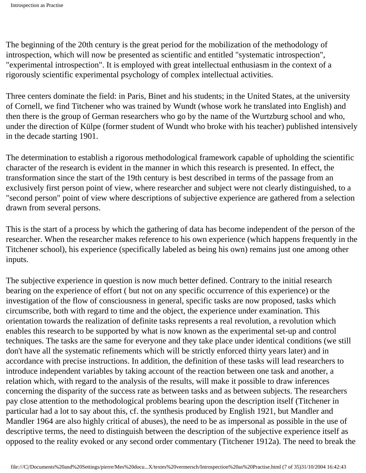The beginning of the 20th century is the great period for the mobilization of the methodology of introspection, which will now be presented as scientific and entitled "systematic introspection", "experimental introspection". It is employed with great intellectual enthusiasm in the context of a rigorously scientific experimental psychology of complex intellectual activities.

Three centers dominate the field: in Paris, Binet and his students; in the United States, at the university of Cornell, we find Titchener who was trained by Wundt (whose work he translated into English) and then there is the group of German researchers who go by the name of the Wurtzburg school and who, under the direction of Külpe (former student of Wundt who broke with his teacher) published intensively in the decade starting 1901.

The determination to establish a rigorous methodological framework capable of upholding the scientific character of the research is evident in the manner in which this research is presented. In effect, the transformation since the start of the 19th century is best described in terms of the passage from an exclusively first person point of view, where researcher and subject were not clearly distinguished, to a "second person" point of view where descriptions of subjective experience are gathered from a selection drawn from several persons.

This is the start of a process by which the gathering of data has become independent of the person of the researcher. When the researcher makes reference to his own experience (which happens frequently in the Titchener school), his experience (specifically labeled as being his own) remains just one among other inputs.

The subjective experience in question is now much better defined. Contrary to the initial research bearing on the experience of effort ( but not on any specific occurrence of this experience) or the investigation of the flow of consciousness in general, specific tasks are now proposed, tasks which circumscribe, both with regard to time and the object, the experience under examination. This orientation towards the realization of definite tasks represents a real revolution, a revolution which enables this research to be supported by what is now known as the experimental set-up and control techniques. The tasks are the same for everyone and they take place under identical conditions (we still don't have all the systematic refinements which will be strictly enforced thirty years later) and in accordance with precise instructions. In addition, the definition of these tasks will lead researchers to introduce independent variables by taking account of the reaction between one task and another, a relation which, with regard to the analysis of the results, will make it possible to draw inferences concerning the disparity of the success rate as between tasks and as between subjects. The researchers pay close attention to the methodological problems bearing upon the description itself (Titchener in particular had a lot to say about this, cf. the synthesis produced by English 1921, but Mandler and Mandler 1964 are also highly critical of abuses), the need to be as impersonal as possible in the use of descriptive terms, the need to distinguish between the description of the subjective experience itself as opposed to the reality evoked or any second order commentary (Titchener 1912a). The need to break the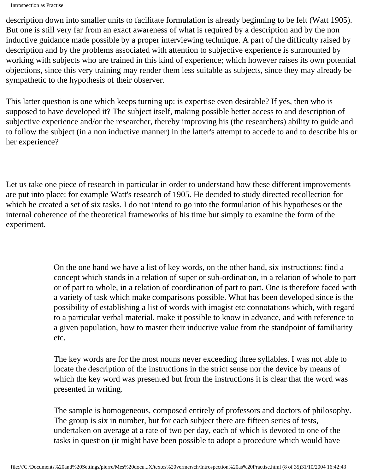description down into smaller units to facilitate formulation is already beginning to be felt (Watt 1905). But one is still very far from an exact awareness of what is required by a description and by the non inductive guidance made possible by a proper interviewing technique. A part of the difficulty raised by description and by the problems associated with attention to subjective experience is surmounted by working with subjects who are trained in this kind of experience; which however raises its own potential objections, since this very training may render them less suitable as subjects, since they may already be sympathetic to the hypothesis of their observer.

This latter question is one which keeps turning up: is expertise even desirable? If yes, then who is supposed to have developed it? The subject itself, making possible better access to and description of subjective experience and/or the researcher, thereby improving his (the researchers) ability to guide and to follow the subject (in a non inductive manner) in the latter's attempt to accede to and to describe his or her experience?

Let us take one piece of research in particular in order to understand how these different improvements are put into place: for example Watt's research of 1905. He decided to study directed recollection for which he created a set of six tasks. I do not intend to go into the formulation of his hypotheses or the internal coherence of the theoretical frameworks of his time but simply to examine the form of the experiment.

> On the one hand we have a list of key words, on the other hand, six instructions: find a concept which stands in a relation of super or sub-ordination, in a relation of whole to part or of part to whole, in a relation of coordination of part to part. One is therefore faced with a variety of task which make comparisons possible. What has been developed since is the possibility of establishing a list of words with imagist etc connotations which, with regard to a particular verbal material, make it possible to know in advance, and with reference to a given population, how to master their inductive value from the standpoint of familiarity etc.

The key words are for the most nouns never exceeding three syllables. I was not able to locate the description of the instructions in the strict sense nor the device by means of which the key word was presented but from the instructions it is clear that the word was presented in writing.

The sample is homogeneous, composed entirely of professors and doctors of philosophy. The group is six in number, but for each subject there are fifteen series of tests, undertaken on average at a rate of two per day, each of which is devoted to one of the tasks in question (it might have been possible to adopt a procedure which would have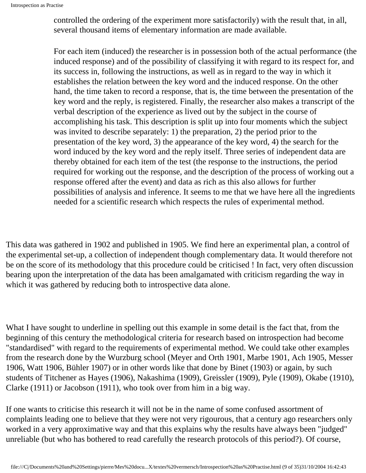controlled the ordering of the experiment more satisfactorily) with the result that, in all, several thousand items of elementary information are made available.

For each item (induced) the researcher is in possession both of the actual performance (the induced response) and of the possibility of classifying it with regard to its respect for, and its success in, following the instructions, as well as in regard to the way in which it establishes the relation between the key word and the induced response. On the other hand, the time taken to record a response, that is, the time between the presentation of the key word and the reply, is registered. Finally, the researcher also makes a transcript of the verbal description of the experience as lived out by the subject in the course of accomplishing his task. This description is split up into four moments which the subject was invited to describe separately: 1) the preparation, 2) the period prior to the presentation of the key word, 3) the appearance of the key word, 4) the search for the word induced by the key word and the reply itself. Three series of independent data are thereby obtained for each item of the test (the response to the instructions, the period required for working out the response, and the description of the process of working out a response offered after the event) and data as rich as this also allows for further possibilities of analysis and inference. It seems to me that we have here all the ingredients needed for a scientific research which respects the rules of experimental method.

This data was gathered in 1902 and published in 1905. We find here an experimental plan, a control of the experimental set-up, a collection of independent though complementary data. It would therefore not be on the score of its methodology that this procedure could be criticised ! In fact, very often discussion bearing upon the interpretation of the data has been amalgamated with criticism regarding the way in which it was gathered by reducing both to introspective data alone.

What I have sought to underline in spelling out this example in some detail is the fact that, from the beginning of this century the methodological criteria for research based on introspection had become "standardised" with regard to the requirements of experimental method. We could take other examples from the research done by the Wurzburg school (Meyer and Orth 1901, Marbe 1901, Ach 1905, Messer 1906, Watt 1906, Bühler 1907) or in other words like that done by Binet (1903) or again, by such students of Titchener as Hayes (1906), Nakashima (1909), Greissler (1909), Pyle (1909), Okabe (1910), Clarke (1911) or Jacobson (1911), who took over from him in a big way.

If one wants to criticise this research it will not be in the name of some confused assortment of complaints leading one to believe that they were not very rigourous, that a century ago researchers only worked in a very approximative way and that this explains why the results have always been "judged" unreliable (but who has bothered to read carefully the research protocols of this period?). Of course,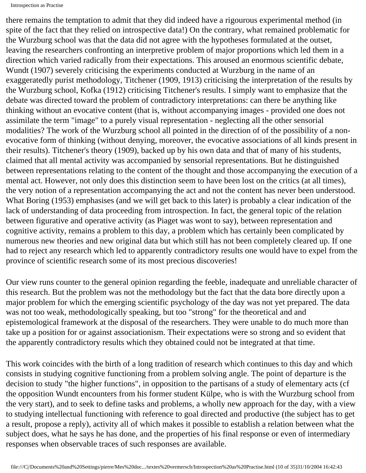there remains the temptation to admit that they did indeed have a rigourous experimental method (in spite of the fact that they relied on introspective data!) On the contrary, what remained problematic for the Wurzburg school was that the data did not agree with the hypotheses formulated at the outset, leaving the researchers confronting an interpretive problem of major proportions which led them in a direction which varied radically from their expectations. This aroused an enormous scientific debate, Wundt (1907) severely criticising the experiments conducted at Wurzburg in the name of an exaggeratedly purist methodology, Titchener (1909, 1913) criticising the interpretation of the results by the Wurzburg school, Kofka (1912) criticising Titchener's results. I simply want to emphasize that the debate was directed toward the problem of contradictory interpretations: can there be anything like thinking without an evocative content (that is, without accompanying images - provided one does not assimilate the term "image" to a purely visual representation - neglecting all the other sensorial modalities? The work of the Wurzburg school all pointed in the direction of of the possibility of a nonevocative form of thinking (without denying, moreover, the evocative associations of all kinds present in their results). Titchener's theory (1909), backed up by his own data and that of many of his students, claimed that all mental activity was accompanied by sensorial representations. But he distinguished between representations relating to the content of the thought and those accompanying the execution of a mental act. However, not only does this distinction seem to have been lost on the critics (at all times), the very notion of a representation accompanying the act and not the content has never been understood. What Boring (1953) emphasises (and we will get back to this later) is probably a clear indication of the lack of understanding of data proceeding from introspection. In fact, the general topic of the relation between figurative and operative activity (as Piaget was wont to say), between representation and cognitive activity, remains a problem to this day, a problem which has certainly been complicated by numerous new theories and new original data but which still has not been completely cleared up. If one had to reject any research which led to apparently contradictory results one would have to expel from the province of scientific research some of its most precious discoveries!

Our view runs counter to the general opinion regarding the feeble, inadequate and unreliable character of this research. But the problem was not the methodology but the fact that the data bore directly upon a major problem for which the emerging scientific psychology of the day was not yet prepared. The data was not too weak, methodologically speaking, but too "strong" for the theoretical and and epistemological framework at the disposal of the researchers. They were unable to do much more than take up a position for or against associationism. Their expectations were so strong and so evident that the apparently contradictory results which they obtained could not be integrated at that time.

This work coincides with the birth of a long tradition of research which continues to this day and which consists in studying cognitive functioning from a problem solving angle. The point of departure is the decision to study "the higher functions", in opposition to the partisans of a study of elementary acts (cf the opposition Wundt encounters from his former student Külpe, who is with the Wurzburg school from the very start), and to seek to define tasks and problems, a wholly new approach for the day, with a view to studying intellectual functioning with reference to goal directed and productive (the subject has to get a result, propose a reply), activity all of which makes it possible to establish a relation between what the subject does, what he says he has done, and the properties of his final response or even of intermediary responses when observable traces of such responses are available.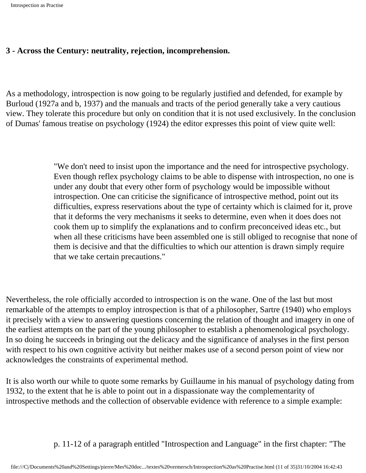#### **3 - Across the Century: neutrality, rejection, incomprehension.**

As a methodology, introspection is now going to be regularly justified and defended, for example by Burloud (1927a and b, 1937) and the manuals and tracts of the period generally take a very cautious view. They tolerate this procedure but only on condition that it is not used exclusively. In the conclusion of Dumas' famous treatise on psychology (1924) the editor expresses this point of view quite well:

> "We don't need to insist upon the importance and the need for introspective psychology. Even though reflex psychology claims to be able to dispense with introspection, no one is under any doubt that every other form of psychology would be impossible without introspection. One can criticise the significance of introspective method, point out its difficulties, express reservations about the type of certainty which is claimed for it, prove that it deforms the very mechanisms it seeks to determine, even when it does does not cook them up to simplify the explanations and to confirm preconceived ideas etc., but when all these criticisms have been assembled one is still obliged to recognise that none of them is decisive and that the difficulties to which our attention is drawn simply require that we take certain precautions."

Nevertheless, the role officially accorded to introspection is on the wane. One of the last but most remarkable of the attempts to employ introspection is that of a philosopher, Sartre (1940) who employs it precisely with a view to answering questions concerning the relation of thought and imagery in one of the earliest attempts on the part of the young philosopher to establish a phenomenological psychology. In so doing he succeeds in bringing out the delicacy and the significance of analyses in the first person with respect to his own cognitive activity but neither makes use of a second person point of view nor acknowledges the constraints of experimental method.

It is also worth our while to quote some remarks by Guillaume in his manual of psychology dating from 1932, to the extent that he is able to point out in a dispassionate way the complementarity of introspective methods and the collection of observable evidence with reference to a simple example:

p. 11-12 of a paragraph entitled "Introspection and Language" in the first chapter: "The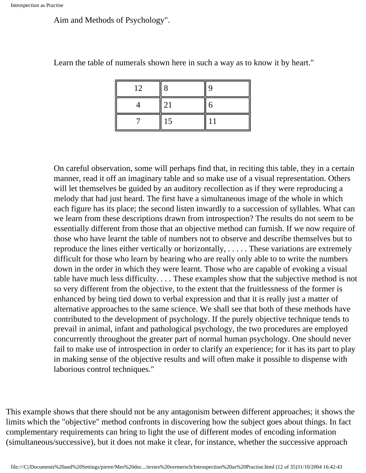Aim and Methods of Psychology".

| 12 |    | q |
|----|----|---|
|    | 21 | ი |
|    | 15 |   |

Learn the table of numerals shown here in such a way as to know it by heart."

On careful observation, some will perhaps find that, in reciting this table, they in a certain manner, read it off an imaginary table and so make use of a visual representation. Others will let themselves be guided by an auditory recollection as if they were reproducing a melody that had just heard. The first have a simultaneous image of the whole in which each figure has its place; the second listen inwardly to a succession of syllables. What can we learn from these descriptions drawn from introspection? The results do not seem to be essentially different from those that an objective method can furnish. If we now require of those who have learnt the table of numbers not to observe and describe themselves but to reproduce the lines either vertically or horizontally, . . . . . These variations are extremely difficult for those who learn by hearing who are really only able to to write the numbers down in the order in which they were learnt. Those who are capable of evoking a visual table have much less difficulty. . . . These examples show that the subjective method is not so very different from the objective, to the extent that the fruitlessness of the former is enhanced by being tied down to verbal expression and that it is really just a matter of alternative approaches to the same science. We shall see that both of these methods have contributed to the development of psychology. If the purely objective technique tends to prevail in animal, infant and pathological psychology, the two procedures are employed concurrently throughout the greater part of normal human psychology. One should never fail to make use of introspection in order to clarify an experience; for it has its part to play in making sense of the objective results and will often make it possible to dispense with laborious control techniques."

This example shows that there should not be any antagonism between different approaches; it shows the limits which the "objective" method confronts in discovering how the subject goes about things. In fact complementary requirements can bring to light the use of different modes of encoding information (simultaneous/successive), but it does not make it clear, for instance, whether the successive approach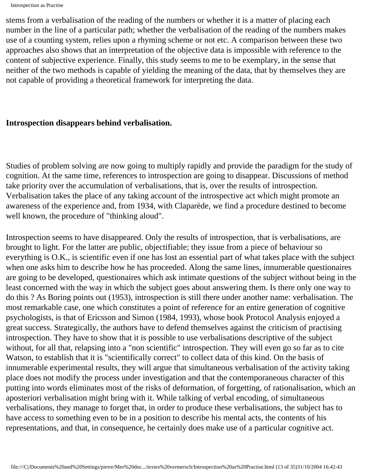stems from a verbalisation of the reading of the numbers or whether it is a matter of placing each number in the line of a particular path; whether the verbalisation of the reading of the numbers makes use of a counting system, relies upon a rhyming scheme or not etc. A comparison between these two approaches also shows that an interpretation of the objective data is impossible with reference to the content of subjective experience. Finally, this study seems to me to be exemplary, in the sense that neither of the two methods is capable of yielding the meaning of the data, that by themselves they are not capable of providing a theoretical framework for interpreting the data.

#### **Introspection disappears behind verbalisation.**

Studies of problem solving are now going to multiply rapidly and provide the paradigm for the study of cognition. At the same time, references to introspection are going to disappear. Discussions of method take priority over the accumulation of verbalisations, that is, over the results of introspection. Verbalisation takes the place of any taking account of the introspective act which might promote an awareness of the experience and, from 1934, with Claparède, we find a procedure destined to become well known, the procedure of "thinking aloud".

Introspection seems to have disappeared. Only the results of introspection, that is verbalisations, are brought to light. For the latter are public, objectifiable; they issue from a piece of behaviour so everything is O.K., is scientific even if one has lost an essential part of what takes place with the subject when one asks him to describe how he has proceeded. Along the same lines, innumerable questionaires are going to be developed, questionaires which ask intimate questions of the subject without being in the least concerned with the way in which the subject goes about answering them. Is there only one way to do this ? As Boring points out (1953), introspection is still there under another name: verbalisation. The most remarkable case, one which constitutes a point of reference for an entire generation of cognitive psychologists, is that of Ericsson and Simon (1984, 1993), whose book Protocol Analysis enjoyed a great success. Strategically, the authors have to defend themselves against the criticism of practising introspection. They have to show that it is possible to use verbalisations descriptive of the subject without, for all that, relapsing into a "non scientific" introspection. They will even go so far as to cite Watson, to establish that it is "scientifically correct" to collect data of this kind. On the basis of innumerable experimental results, they will argue that simultaneous verbalisation of the activity taking place does not modify the process under investigation and that the contemporaneous character of this putting into words eliminates most of the risks of deformation, of forgetting, of rationalisation, which an aposteriori verbalisation might bring with it. While talking of verbal encoding, of simultaneous verbalisations, they manage to forget that, in order to produce these verbalisations, the subject has to have access to something even to be in a position to describe his mental acts, the contents of his representations, and that, in consequence, he certainly does make use of a particular cognitive act.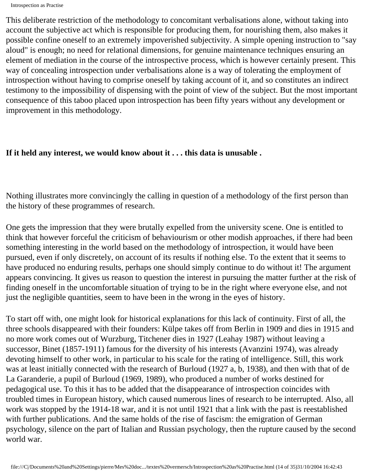Introspection as Practise

This deliberate restriction of the methodology to concomitant verbalisations alone, without taking into account the subjective act which is responsible for producing them, for nourishing them, also makes it possible confine oneself to an extremely impoverished subjectivity. A simple opening instruction to "say aloud" is enough; no need for relational dimensions, for genuine maintenance techniques ensuring an element of mediation in the course of the introspective process, which is however certainly present. This way of concealing introspection under verbalisations alone is a way of tolerating the employment of introspection without having to comprise oneself by taking account of it, and so constitutes an indirect testimony to the impossibility of dispensing with the point of view of the subject. But the most important consequence of this taboo placed upon introspection has been fifty years without any development or improvement in this methodology.

#### **If it held any interest, we would know about it . . . this data is unusable .**

Nothing illustrates more convincingly the calling in question of a methodology of the first person than the history of these programmes of research.

One gets the impression that they were brutally expelled from the university scene. One is entitled to think that however forceful the criticism of behaviourism or other modish approaches, if there had been something interesting in the world based on the methodology of introspection, it would have been pursued, even if only discretely, on account of its results if nothing else. To the extent that it seems to have produced no enduring results, perhaps one should simply continue to do without it! The argument appears convincing. It gives us reason to question the interest in pursuing the matter further at the risk of finding oneself in the uncomfortable situation of trying to be in the right where everyone else, and not just the negligible quantities, seem to have been in the wrong in the eyes of history.

To start off with, one might look for historical explanations for this lack of continuity. First of all, the three schools disappeared with their founders: Külpe takes off from Berlin in 1909 and dies in 1915 and no more work comes out of Wurzburg, Titchener dies in 1927 (Leahay 1987) without leaving a successor, Binet (1857-1911) famous for the diversity of his interests (Avanzini 1974), was already devoting himself to other work, in particular to his scale for the rating of intelligence. Still, this work was at least initially connected with the research of Burloud (1927 a, b, 1938), and then with that of de La Garanderie, a pupil of Burloud (1969, 1989), who produced a number of works destined for pedagogical use. To this it has to be added that the disappearance of introspection coincides with troubled times in European history, which caused numerous lines of research to be interrupted. Also, all work was stopped by the 1914-18 war, and it is not until 1921 that a link with the past is reestablished with further publications. And the same holds of the rise of fascism: the emigration of German psychology, silence on the part of Italian and Russian psychology, then the rupture caused by the second world war.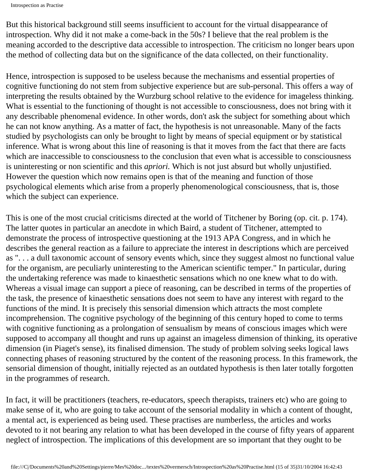Introspection as Practise

But this historical background still seems insufficient to account for the virtual disappearance of introspection. Why did it not make a come-back in the 50s? I believe that the real problem is the meaning accorded to the descriptive data accessible to introspection. The criticism no longer bears upon the method of collecting data but on the significance of the data collected, on their functionality.

Hence, introspection is supposed to be useless because the mechanisms and essential properties of cognitive functioning do not stem from subjective experience but are sub-personal. This offers a way of interpreting the results obtained by the Wurzburg school relative to the evidence for imageless thinking. What is essential to the functioning of thought is not accessible to consciousness, does not bring with it any describable phenomenal evidence. In other words, don't ask the subject for something about which he can not know anything. As a matter of fact, the hypothesis is not unreasonable. Many of the facts studied by psychologists can only be brought to light by means of special equipment or by statistical inference. What is wrong about this line of reasoning is that it moves from the fact that there are facts which are inaccessible to consciousness to the conclusion that even what is accessible to consciousness is uninteresting or non scientific and this *apriori.* Which is not just absurd but wholly unjustified. However the question which now remains open is that of the meaning and function of those psychological elements which arise from a properly phenomenological consciousness, that is, those which the subject can experience.

This is one of the most crucial criticisms directed at the world of Titchener by Boring (op. cit. p. 174). The latter quotes in particular an anecdote in which Baird, a student of Titchener, attempted to demonstrate the process of introspective questioning at the 1913 APA Congress, and in which he describes the general reaction as a failure to appreciate the interest in descriptions which are perceived as ". . . a dull taxonomic account of sensory events which, since they suggest almost no functional value for the organism, are peculiarly uninteresting to the American scientific temper." In particular, during the undertaking reference was made to kinaesthetic sensations which no one knew what to do with. Whereas a visual image can support a piece of reasoning, can be described in terms of the properties of the task, the presence of kinaesthetic sensations does not seem to have any interest with regard to the functions of the mind. It is precisely this sensorial dimension which attracts the most complete incomprehension. The cognitive psychology of the beginning of this century hoped to come to terms with cognitive functioning as a prolongation of sensualism by means of conscious images which were supposed to accompany all thought and runs up against an imageless dimension of thinking, its operative dimension (in Piaget's sense), its finalised dimension. The study of problem solving seeks logical laws connecting phases of reasoning structured by the content of the reasoning process. In this framework, the sensorial dimension of thought, initially rejected as an outdated hypothesis is then later totally forgotten in the programmes of research.

In fact, it will be practitioners (teachers, re-educators, speech therapists, trainers etc) who are going to make sense of it, who are going to take account of the sensorial modality in which a content of thought, a mental act, is experienced as being used. These practises are numberless, the articles and works devoted to it not bearing any relation to what has been developed in the course of fifty years of apparent neglect of introspection. The implications of this development are so important that they ought to be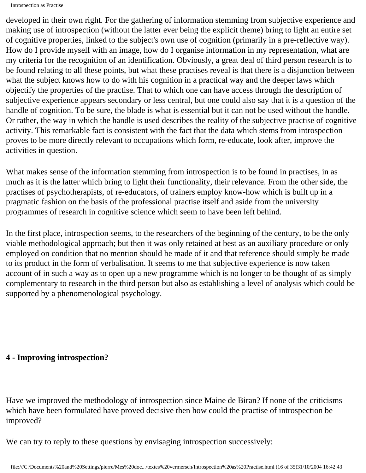Introspection as Practise

developed in their own right. For the gathering of information stemming from subjective experience and making use of introspection (without the latter ever being the explicit theme) bring to light an entire set of cognitive properties, linked to the subject's own use of cognition (primarily in a pre-reflective way). How do I provide myself with an image, how do I organise information in my representation, what are my criteria for the recognition of an identification. Obviously, a great deal of third person research is to be found relating to all these points, but what these practises reveal is that there is a disjunction between what the subject knows how to do with his cognition in a practical way and the deeper laws which objectify the properties of the practise. That to which one can have access through the description of subjective experience appears secondary or less central, but one could also say that it is a question of the handle of cognition. To be sure, the blade is what is essential but it can not be used without the handle. Or rather, the way in which the handle is used describes the reality of the subjective practise of cognitive activity. This remarkable fact is consistent with the fact that the data which stems from introspection proves to be more directly relevant to occupations which form, re-educate, look after, improve the activities in question.

What makes sense of the information stemming from introspection is to be found in practises, in as much as it is the latter which bring to light their functionality, their relevance. From the other side, the practises of psychotherapists, of re-educators, of trainers employ know-how which is built up in a pragmatic fashion on the basis of the professional practise itself and aside from the university programmes of research in cognitive science which seem to have been left behind.

In the first place, introspection seems, to the researchers of the beginning of the century, to be the only viable methodological approach; but then it was only retained at best as an auxiliary procedure or only employed on condition that no mention should be made of it and that reference should simply be made to its product in the form of verbalisation. It seems to me that subjective experience is now taken account of in such a way as to open up a new programme which is no longer to be thought of as simply complementary to research in the third person but also as establishing a level of analysis which could be supported by a phenomenological psychology.

#### **4 - Improving introspection?**

Have we improved the methodology of introspection since Maine de Biran? If none of the criticisms which have been formulated have proved decisive then how could the practise of introspection be improved?

We can try to reply to these questions by envisaging introspection successively: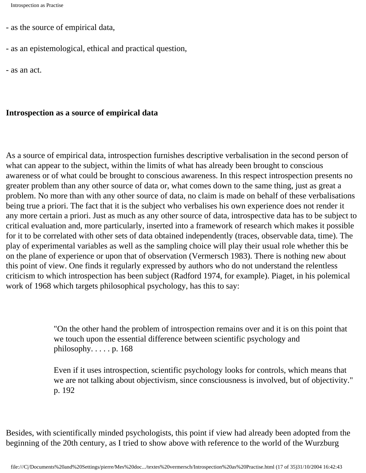- as the source of empirical data,
- as an epistemological, ethical and practical question,

- as an act.

#### **Introspection as a source of empirical data**

As a source of empirical data, introspection furnishes descriptive verbalisation in the second person of what can appear to the subject, within the limits of what has already been brought to conscious awareness or of what could be brought to conscious awareness. In this respect introspection presents no greater problem than any other source of data or, what comes down to the same thing, just as great a problem. No more than with any other source of data, no claim is made on behalf of these verbalisations being true a priori. The fact that it is the subject who verbalises his own experience does not render it any more certain a priori. Just as much as any other source of data, introspective data has to be subject to critical evaluation and, more particularly, inserted into a framework of research which makes it possible for it to be correlated with other sets of data obtained independently (traces, observable data, time). The play of experimental variables as well as the sampling choice will play their usual role whether this be on the plane of experience or upon that of observation (Vermersch 1983). There is nothing new about this point of view. One finds it regularly expressed by authors who do not understand the relentless criticism to which introspection has been subject (Radford 1974, for example). Piaget, in his polemical work of 1968 which targets philosophical psychology, has this to say:

> "On the other hand the problem of introspection remains over and it is on this point that we touch upon the essential difference between scientific psychology and philosophy.  $\dots$  p. 168

Even if it uses introspection, scientific psychology looks for controls, which means that we are not talking about objectivism, since consciousness is involved, but of objectivity." p. 192

Besides, with scientifically minded psychologists, this point if view had already been adopted from the beginning of the 20th century, as I tried to show above with reference to the world of the Wurzburg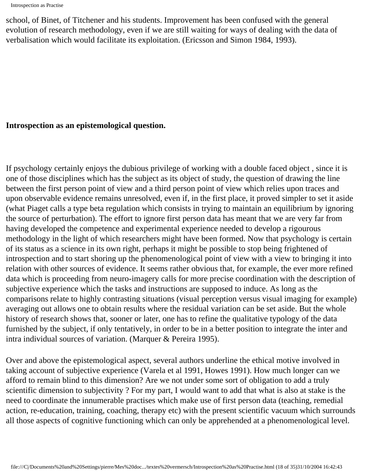Introspection as Practise

school, of Binet, of Titchener and his students. Improvement has been confused with the general evolution of research methodology, even if we are still waiting for ways of dealing with the data of verbalisation which would facilitate its exploitation. (Ericsson and Simon 1984, 1993).

#### **Introspection as an epistemological question.**

If psychology certainly enjoys the dubious privilege of working with a double faced object , since it is one of those disciplines which has the subject as its object of study, the question of drawing the line between the first person point of view and a third person point of view which relies upon traces and upon observable evidence remains unresolved, even if, in the first place, it proved simpler to set it aside (what Piaget calls a type beta regulation which consists in trying to maintain an equilibrium by ignoring the source of perturbation). The effort to ignore first person data has meant that we are very far from having developed the competence and experimental experience needed to develop a rigourous methodology in the light of which researchers might have been formed. Now that psychology is certain of its status as a science in its own right, perhaps it might be possible to stop being frightened of introspection and to start shoring up the phenomenological point of view with a view to bringing it into relation with other sources of evidence. It seems rather obvious that, for example, the ever more refined data which is proceeding from neuro-imagery calls for more precise coordination with the description of subjective experience which the tasks and instructions are supposed to induce. As long as the comparisons relate to highly contrasting situations (visual perception versus visual imaging for example) averaging out allows one to obtain results where the residual variation can be set aside. But the whole history of research shows that, sooner or later, one has to refine the qualitative typology of the data furnished by the subject, if only tentatively, in order to be in a better position to integrate the inter and intra individual sources of variation. (Marquer & Pereira 1995).

Over and above the epistemological aspect, several authors underline the ethical motive involved in taking account of subjective experience (Varela et al 1991, Howes 1991). How much longer can we afford to remain blind to this dimension? Are we not under some sort of obligation to add a truly scientific dimension to subjectivity ? For my part, I would want to add that what is also at stake is the need to coordinate the innumerable practises which make use of first person data (teaching, remedial action, re-education, training, coaching, therapy etc) with the present scientific vacuum which surrounds all those aspects of cognitive functioning which can only be apprehended at a phenomenological level.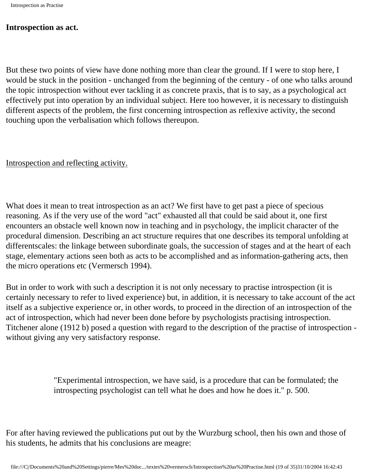#### **Introspection as act.**

But these two points of view have done nothing more than clear the ground. If I were to stop here, I would be stuck in the position - unchanged from the beginning of the century - of one who talks around the topic introspection without ever tackling it as concrete praxis, that is to say, as a psychological act effectively put into operation by an individual subject. Here too however, it is necessary to distinguish different aspects of the problem, the first concerning introspection as reflexive activity, the second touching upon the verbalisation which follows thereupon.

Introspection and reflecting activity.

What does it mean to treat introspection as an act? We first have to get past a piece of specious reasoning. As if the very use of the word "act" exhausted all that could be said about it, one first encounters an obstacle well known now in teaching and in psychology, the implicit character of the procedural dimension. Describing an act structure requires that one describes its temporal unfolding at differentscales: the linkage between subordinate goals, the succession of stages and at the heart of each stage, elementary actions seen both as acts to be accomplished and as information-gathering acts, then the micro operations etc (Vermersch 1994).

But in order to work with such a description it is not only necessary to practise introspection (it is certainly necessary to refer to lived experience) but, in addition, it is necessary to take account of the act itself as a subjective experience or, in other words, to proceed in the direction of an introspection of the act of introspection, which had never been done before by psychologists practising introspection. Titchener alone (1912 b) posed a question with regard to the description of the practise of introspection without giving any very satisfactory response.

> "Experimental introspection, we have said, is a procedure that can be formulated; the introspecting psychologist can tell what he does and how he does it." p. 500.

For after having reviewed the publications put out by the Wurzburg school, then his own and those of his students, he admits that his conclusions are meagre: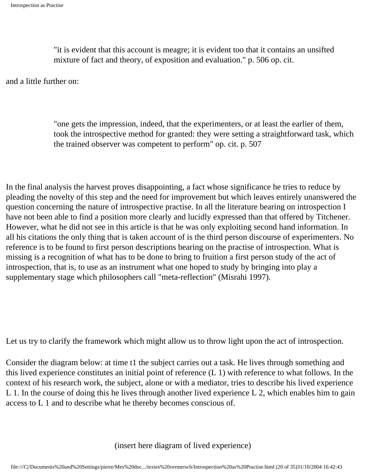"it is evident that this account is meagre; it is evident too that it contains an unsifted mixture of fact and theory, of exposition and evaluation." p. 506 op. cit.

and a little further on:

"one gets the impression, indeed, that the experimenters, or at least the earlier of them, took the introspective method for granted: they were setting a straightforward task, which the trained observer was competent to perform" op. cit. p. 507

In the final analysis the harvest proves disappointing, a fact whose significance he tries to reduce by pleading the novelty of this step and the need for improvement but which leaves entirely unanswered the question concerning the nature of introspective practise. In all the literature bearing on introspection I have not been able to find a position more clearly and lucidly expressed than that offered by Titchener. However, what he did not see in this article is that he was only exploiting second hand information. In all his citations the only thing that is taken account of is the third person discourse of experimenters. No reference is to be found to first person descriptions bearing on the practise of introspection. What is missing is a recognition of what has to be done to bring to fruition a first person study of the act of introspection, that is, to use as an instrument what one hoped to study by bringing into play a supplementary stage which philosophers call "meta-reflection" (Misrahi 1997).

Let us try to clarify the framework which might allow us to throw light upon the act of introspection.

Consider the diagram below: at time t1 the subject carries out a task. He lives through something and this lived experience constitutes an initial point of reference (L 1) with reference to what follows. In the context of his research work, the subject, alone or with a mediator, tries to describe his lived experience L 1. In the course of doing this he lives through another lived experience L 2, which enables him to gain access to L 1 and to describe what he thereby becomes conscious of.

(insert here diagram of lived experience)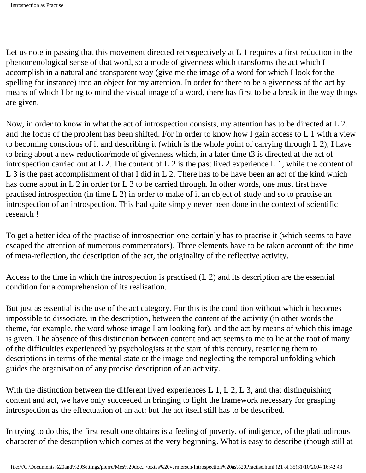Let us note in passing that this movement directed retrospectively at L 1 requires a first reduction in the phenomenological sense of that word, so a mode of givenness which transforms the act which I accomplish in a natural and transparent way (give me the image of a word for which I look for the spelling for instance) into an object for my attention. In order for there to be a givenness of the act by means of which I bring to mind the visual image of a word, there has first to be a break in the way things are given.

Now, in order to know in what the act of introspection consists, my attention has to be directed at L 2. and the focus of the problem has been shifted. For in order to know how I gain access to L 1 with a view to becoming conscious of it and describing it (which is the whole point of carrying through L 2), I have to bring about a new reduction/mode of givenness which, in a later time t3 is directed at the act of introspection carried out at L 2. The content of L 2 is the past lived experience L 1, while the content of L 3 is the past accomplishment of that I did in L 2. There has to be have been an act of the kind which has come about in L 2 in order for L 3 to be carried through. In other words, one must first have practised introspection (in time L 2) in order to make of it an object of study and so to practise an introspection of an introspection. This had quite simply never been done in the context of scientific research !

To get a better idea of the practise of introspection one certainly has to practise it (which seems to have escaped the attention of numerous commentators). Three elements have to be taken account of: the time of meta-reflection, the description of the act, the originality of the reflective activity.

Access to the time in which the introspection is practised (L 2) and its description are the essential condition for a comprehension of its realisation.

But just as essential is the use of the act category. For this is the condition without which it becomes impossible to dissociate, in the description, between the content of the activity (in other words the theme, for example, the word whose image I am looking for), and the act by means of which this image is given. The absence of this distinction between content and act seems to me to lie at the root of many of the difficulties experienced by psychologists at the start of this century, restricting them to descriptions in terms of the mental state or the image and neglecting the temporal unfolding which guides the organisation of any precise description of an activity.

With the distinction between the different lived experiences L 1, L 2, L 3, and that distinguishing content and act, we have only succeeded in bringing to light the framework necessary for grasping introspection as the effectuation of an act; but the act itself still has to be described.

In trying to do this, the first result one obtains is a feeling of poverty, of indigence, of the platitudinous character of the description which comes at the very beginning. What is easy to describe (though still at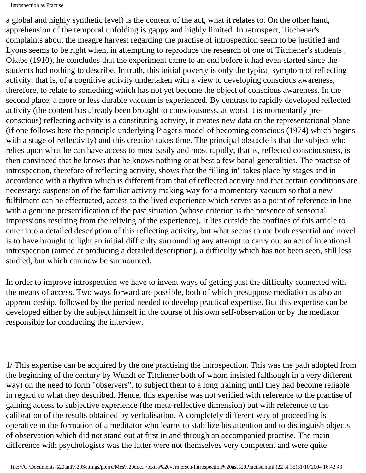a global and highly synthetic level) is the content of the act, what it relates to. On the other hand, apprehension of the temporal unfolding is gappy and highly limited. In retrospect, Titchener's complaints about the meagre harvest regarding the practise of introspection seem to be justified and Lyons seems to be right when, in attempting to reproduce the research of one of Titchener's students , Okabe (1910), he concludes that the experiment came to an end before it had even started since the students had nothing to describe. In truth, this initial poverty is only the typical symptom of reflecting activity, that is, of a cognitive activity undertaken with a view to developing conscious awareness, therefore, to relate to something which has not yet become the object of conscious awareness. In the second place, a more or less durable vacuum is experienced. By contrast to rapidly developed reflected activity (the content has already been brought to consciousness, at worst it is momentarily preconscious) reflecting activity is a constituting activity, it creates new data on the representational plane (if one follows here the principle underlying Piaget's model of becoming conscious (1974) which begins with a stage of reflectivity) and this creation takes time. The principal obstacle is that the subject who relies upon what he can have access to most easily and most rapidly, that is, reflected consciousness, is then convinced that he knows that he knows nothing or at best a few banal generalities. The practise of introspection, therefore of reflecting activity, shows that the filling in" takes place by stages and in accordance with a rhythm which is different from that of reflected activity and that certain conditions are necessary: suspension of the familiar activity making way for a momentary vacuum so that a new fulfilment can be effectuated, access to the lived experience which serves as a point of reference in line with a genuine presentification of the past situation (whose criterion is the presence of sensorial impressions resulting from the reliving of the experience). It lies outside the confines of this article to enter into a detailed description of this reflecting activity, but what seems to me both essential and novel is to have brought to light an initial difficulty surrounding any attempt to carry out an act of intentional introspection (aimed at producing a detailed description), a difficulty which has not been seen, still less studied, but which can now be surmounted.

In order to improve introspection we have to invent ways of getting past the difficulty connected with the means of access. Two ways forward are possible, both of which presuppose mediation as also an apprenticeship, followed by the period needed to develop practical expertise. But this expertise can be developed either by the subject himself in the course of his own self-observation or by the mediator responsible for conducting the interview.

1/ This expertise can be acquired by the one practising the introspection. This was the path adopted from the beginning of the century by Wundt or Titchener both of whom insisted (although in a very different way) on the need to form "observers", to subject them to a long training until they had become reliable in regard to what they described. Hence, this expertise was not verified with reference to the practise of gaining access to subjective experience (the meta-reflective dimension) but with reference to the calibration of the results obtained by verbalisation. A completely different way of proceeding is operative in the formation of a meditator who learns to stabilize his attention and to distinguish objects of observation which did not stand out at first in and through an accompanied practise. The main difference with psychologists was the latter were not themselves very competent and were quite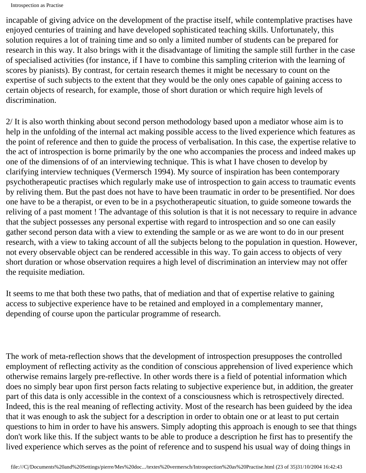incapable of giving advice on the development of the practise itself, while contemplative practises have enjoyed centuries of training and have developed sophisticated teaching skills. Unfortunately, this solution requires a lot of training time and so only a limited number of students can be prepared for research in this way. It also brings with it the disadvantage of limiting the sample still further in the case of specialised activities (for instance, if I have to combine this sampling criterion with the learning of scores by pianists). By contrast, for certain research themes it might be necessary to count on the expertise of such subjects to the extent that they would be the only ones capable of gaining access to certain objects of research, for example, those of short duration or which require high levels of discrimination.

2/ It is also worth thinking about second person methodology based upon a mediator whose aim is to help in the unfolding of the internal act making possible access to the lived experience which features as the point of reference and then to guide the process of verbalisation. In this case, the expertise relative to the act of introspection is borne primarily by the one who accompanies the process and indeed makes up one of the dimensions of of an interviewing technique. This is what I have chosen to develop by clarifying interview techniques (Vermersch 1994). My source of inspiration has been contemporary psychotherapeutic practises which regularly make use of introspection to gain access to traumatic events by reliving them. But the past does not have to have been traumatic in order to be presentified. Nor does one have to be a therapist, or even to be in a psychotherapeutic situation, to guide someone towards the reliving of a past moment ! The advantage of this solution is that it is not necessary to require in advance that the subject possesses any personal expertise with regard to introspection and so one can easily gather second person data with a view to extending the sample or as we are wont to do in our present research, with a view to taking account of all the subjects belong to the population in question. However, not every observable object can be rendered accessible in this way. To gain access to objects of very short duration or whose observation requires a high level of discrimination an interview may not offer the requisite mediation.

It seems to me that both these two paths, that of mediation and that of expertise relative to gaining access to subjective experience have to be retained and employed in a complementary manner, depending of course upon the particular programme of research.

The work of meta-reflection shows that the development of introspection presupposes the controlled employment of reflecting activity as the condition of conscious apprehension of lived experience which otherwise remains largely pre-reflective. In other words there is a field of potential information which does no simply bear upon first person facts relating to subjective experience but, in addition, the greater part of this data is only accessible in the context of a consciousness which is retrospectively directed. Indeed, this is the real meaning of reflecting activity. Most of the research has been guideed by the idea that it was enough to ask the subject for a description in order to obtain one or at least to put certain questions to him in order to have his answers. Simply adopting this approach is enough to see that things don't work like this. If the subject wants to be able to produce a description he first has to presentify the lived experience which serves as the point of reference and to suspend his usual way of doing things in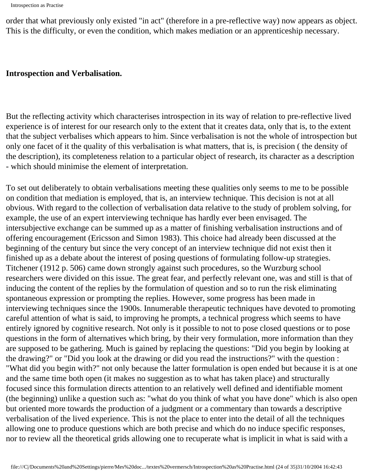order that what previously only existed "in act" (therefore in a pre-reflective way) now appears as object. This is the difficulty, or even the condition, which makes mediation or an apprenticeship necessary.

#### **Introspection and Verbalisation.**

But the reflecting activity which characterises introspection in its way of relation to pre-reflective lived experience is of interest for our research only to the extent that it creates data, only that is, to the extent that the subject verbalises which appears to him. Since verbalisation is not the whole of introspection but only one facet of it the quality of this verbalisation is what matters, that is, is precision ( the density of the description), its completeness relation to a particular object of research, its character as a description - which should minimise the element of interpretation.

To set out deliberately to obtain verbalisations meeting these qualities only seems to me to be possible on condition that mediation is employed, that is, an interview technique. This decision is not at all obvious. With regard to the collection of verbalisation data relative to the study of problem solving, for example, the use of an expert interviewing technique has hardly ever been envisaged. The intersubjective exchange can be summed up as a matter of finishing verbalisation instructions and of offering encouragement (Ericsson and Simon 1983). This choice had already been discussed at the beginning of the century but since the very concept of an interview technique did not exist then it finished up as a debate about the interest of posing questions of formulating follow-up strategies. Titchener (1912 p. 506) came down strongly against such procedures, so the Wurzburg school researchers were divided on this issue. The great fear, and perfectly relevant one, was and still is that of inducing the content of the replies by the formulation of question and so to run the risk eliminating spontaneous expression or prompting the replies. However, some progress has been made in interviewing techniques since the 1900s. Innumerable therapeutic techniques have devoted to promoting careful attention of what is said, to improving he prompts, a technical progress which seems to have entirely ignored by cognitive research. Not only is it possible to not to pose closed questions or to pose questions in the form of alternatives which bring, by their very formulation, more information than they are supposed to be gathering. Much is gained by replacing the questions: "Did you begin by looking at the drawing?" or "Did you look at the drawing or did you read the instructions?" with the question : "What did you begin with?" not only because the latter formulation is open ended but because it is at one and the same time both open (it makes no suggestion as to what has taken place) and structurally focused since this formulation directs attention to an relatively well defined and identifiable moment (the beginning) unlike a question such as: "what do you think of what you have done" which is also open but oriented more towards the production of a judgment or a commentary than towards a descriptive verbalisation of the lived experience. This is not the place to enter into the detail of all the techniques allowing one to produce questions which are both precise and which do no induce specific responses, nor to review all the theoretical grids allowing one to recuperate what is implicit in what is said with a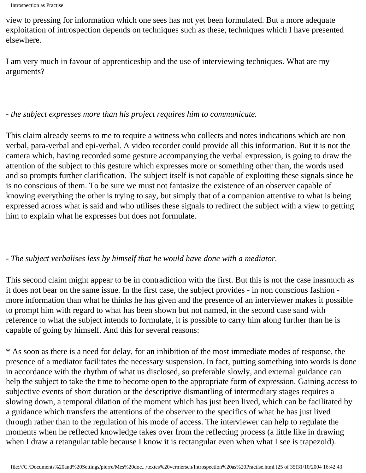```
Introspection as Practise
```
view to pressing for information which one sees has not yet been formulated. But a more adequate exploitation of introspection depends on techniques such as these, techniques which I have presented elsewhere.

I am very much in favour of apprenticeship and the use of interviewing techniques. What are my arguments?

### *- the subject expresses more than his project requires him to communicate.*

This claim already seems to me to require a witness who collects and notes indications which are non verbal, para-verbal and epi-verbal. A video recorder could provide all this information. But it is not the camera which, having recorded some gesture accompanying the verbal expression, is going to draw the attention of the subject to this gesture which expresses more or something other than, the words used and so prompts further clarification. The subject itself is not capable of exploiting these signals since he is no conscious of them. To be sure we must not fantasize the existence of an observer capable of knowing everything the other is trying to say, but simply that of a companion attentive to what is being expressed across what is said and who utilises these signals to redirect the subject with a view to getting him to explain what he expresses but does not formulate.

## *- The subject verbalises less by himself that he would have done with a mediator.*

This second claim might appear to be in contradiction with the first. But this is not the case inasmuch as it does not bear on the same issue. In the first case, the subject provides - in non conscious fashion more information than what he thinks he has given and the presence of an interviewer makes it possible to prompt him with regard to what has been shown but not named, in the second case sand with reference to what the subject intends to formulate, it is possible to carry him along further than he is capable of going by himself. And this for several reasons:

\* As soon as there is a need for delay, for an inhibition of the most immediate modes of response, the presence of a mediator facilitates the necessary suspension. In fact, putting something into words is done in accordance with the rhythm of what us disclosed, so preferable slowly, and external guidance can help the subject to take the time to become open to the appropriate form of expression. Gaining access to subjective events of short duration or the descriptive dismantling of intermediary stages requires a slowing down, a temporal dilation of the moment which has just been lived, which can be facilitated by a guidance which transfers the attentions of the observer to the specifics of what he has just lived through rather than to the regulation of his mode of access. The interviewer can help to regulate the moments when he reflected knowledge takes over from the reflecting process (a little like in drawing when I draw a retangular table because I know it is rectangular even when what I see is trapezoid).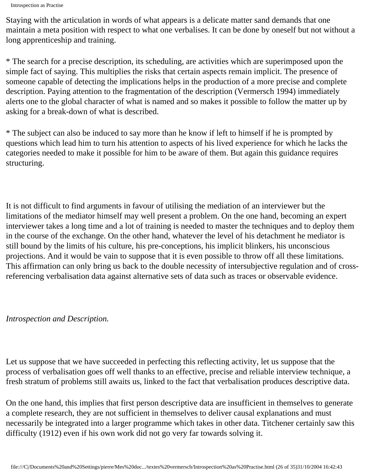```
Introspection as Practise
```
Staying with the articulation in words of what appears is a delicate matter sand demands that one maintain a meta position with respect to what one verbalises. It can be done by oneself but not without a long apprenticeship and training.

\* The search for a precise description, its scheduling, are activities which are superimposed upon the simple fact of saying. This multiplies the risks that certain aspects remain implicit. The presence of someone capable of detecting the implications helps in the production of a more precise and complete description. Paying attention to the fragmentation of the description (Vermersch 1994) immediately alerts one to the global character of what is named and so makes it possible to follow the matter up by asking for a break-down of what is described.

\* The subject can also be induced to say more than he know if left to himself if he is prompted by questions which lead him to turn his attention to aspects of his lived experience for which he lacks the categories needed to make it possible for him to be aware of them. But again this guidance requires structuring.

It is not difficult to find arguments in favour of utilising the mediation of an interviewer but the limitations of the mediator himself may well present a problem. On the one hand, becoming an expert interviewer takes a long time and a lot of training is needed to master the techniques and to deploy them in the course of the exchange. On the other hand, whatever the level of his detachment he mediator is still bound by the limits of his culture, his pre-conceptions, his implicit blinkers, his unconscious projections. And it would be vain to suppose that it is even possible to throw off all these limitations. This affirmation can only bring us back to the double necessity of intersubjective regulation and of crossreferencing verbalisation data against alternative sets of data such as traces or observable evidence.

### *Introspection and Description.*

Let us suppose that we have succeeded in perfecting this reflecting activity, let us suppose that the process of verbalisation goes off well thanks to an effective, precise and reliable interview technique, a fresh stratum of problems still awaits us, linked to the fact that verbalisation produces descriptive data.

On the one hand, this implies that first person descriptive data are insufficient in themselves to generate a complete research, they are not sufficient in themselves to deliver causal explanations and must necessarily be integrated into a larger programme which takes in other data. Titchener certainly saw this difficulty (1912) even if his own work did not go very far towards solving it.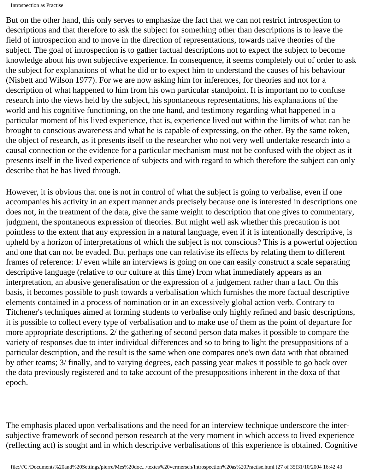Introspection as Practise

But on the other hand, this only serves to emphasize the fact that we can not restrict introspection to descriptions and that therefore to ask the subject for something other than descriptions is to leave the field of introspection and to move in the direction of representations, towards naive theories of the subject. The goal of introspection is to gather factual descriptions not to expect the subject to become knowledge about his own subjective experience. In consequence, it seems completely out of order to ask the subject for explanations of what he did or to expect him to understand the causes of his behaviour (Nisbett and Wilson 1977). For we are now asking him for inferences, for theories and not for a description of what happened to him from his own particular standpoint. It is important no to confuse research into the views held by the subject, his spontaneous representations, his explanations of the world and his cognitive functioning, on the one hand, and testimony regarding what happened in a particular moment of his lived experience, that is, experience lived out within the limits of what can be brought to conscious awareness and what he is capable of expressing, on the other. By the same token, the object of research, as it presents itself to the researcher who not very well undertake research into a causal connection or the evidence for a particular mechanism must not be confused with the object as it presents itself in the lived experience of subjects and with regard to which therefore the subject can only describe that he has lived through.

However, it is obvious that one is not in control of what the subject is going to verbalise, even if one accompanies his activity in an expert manner ands precisely because one is interested in descriptions one does not, in the treatment of the data, give the same weight to description that one gives to commentary, judgment, the spontaneous expression of theories. But might well ask whether this precaution is not pointless to the extent that any expression in a natural language, even if it is intentionally descriptive, is upheld by a horizon of interpretations of which the subject is not conscious? This is a powerful objection and one that can not be evaded. But perhaps one can relativise its effects by relating them to different frames of reference: 1/ even while an interviews is going on one can easily construct a scale separating descriptive language (relative to our culture at this time) from what immediately appears as an interpretation, an abusive generalisation or the expression of a judgement rather than a fact. On this basis, it becomes possible to push towards a verbalisation which furnishes the more factual descriptive elements contained in a process of nomination or in an excessively global action verb. Contrary to Titchener's techniques aimed at forming students to verbalise only highly refined and basic descriptions, it is possible to collect every type of verbalisation and to make use of them as the point of departure for more appropriate descriptions. 2/ the gathering of second person data makes it possible to compare the variety of responses due to inter individual differences and so to bring to light the presuppositions of a particular description, and the result is the same when one compares one's own data with that obtained by other teams; 3/ finally, and to varying degrees, each passing year makes it possible to go back over the data previously registered and to take account of the presuppositions inherent in the doxa of that epoch.

The emphasis placed upon verbalisations and the need for an interview technique underscore the intersubjective framework of second person research at the very moment in which access to lived experience (reflecting act) is sought and in which descriptive verbalisations of this experience is obtained. Cognitive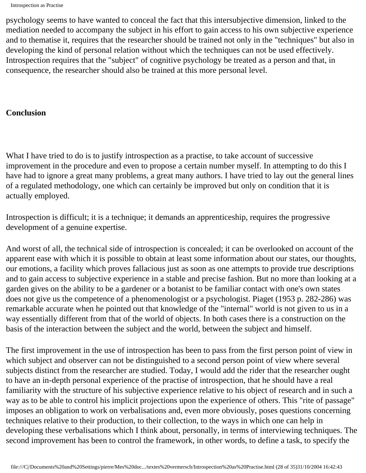```
Introspection as Practise
```
psychology seems to have wanted to conceal the fact that this intersubjective dimension, linked to the mediation needed to accompany the subject in his effort to gain access to his own subjective experience and to thematise it, requires that the researcher should be trained not only in the "techniques" but also in developing the kind of personal relation without which the techniques can not be used effectively. Introspection requires that the "subject" of cognitive psychology be treated as a person and that, in consequence, the researcher should also be trained at this more personal level.

### **Conclusion**

What I have tried to do is to justify introspection as a practise, to take account of successive improvement in the procedure and even to propose a certain number myself. In attempting to do this I have had to ignore a great many problems, a great many authors. I have tried to lay out the general lines of a regulated methodology, one which can certainly be improved but only on condition that it is actually employed.

Introspection is difficult; it is a technique; it demands an apprenticeship, requires the progressive development of a genuine expertise.

And worst of all, the technical side of introspection is concealed; it can be overlooked on account of the apparent ease with which it is possible to obtain at least some information about our states, our thoughts, our emotions, a facility which proves fallacious just as soon as one attempts to provide true descriptions and to gain access to subjective experience in a stable and precise fashion. But no more than looking at a garden gives on the ability to be a gardener or a botanist to be familiar contact with one's own states does not give us the competence of a phenomenologist or a psychologist. Piaget (1953 p. 282-286) was remarkable accurate when he pointed out that knowledge of the "internal" world is not given to us in a way essentially different from that of the world of objects. In both cases there is a construction on the basis of the interaction between the subject and the world, between the subject and himself.

The first improvement in the use of introspection has been to pass from the first person point of view in which subject and observer can not be distinguished to a second person point of view where several subjects distinct from the researcher are studied. Today, I would add the rider that the researcher ought to have an in-depth personal experience of the practise of introspection, that he should have a real familiarity with the structure of his subjective experience relative to his object of research and in such a way as to be able to control his implicit projections upon the experience of others. This "rite of passage" imposes an obligation to work on verbalisations and, even more obviously, poses questions concerning techniques relative to their production, to their collection, to the ways in which one can help in developing these verbalisations which I think about, personally, in terms of interviewing techniques. The second improvement has been to control the framework, in other words, to define a task, to specify the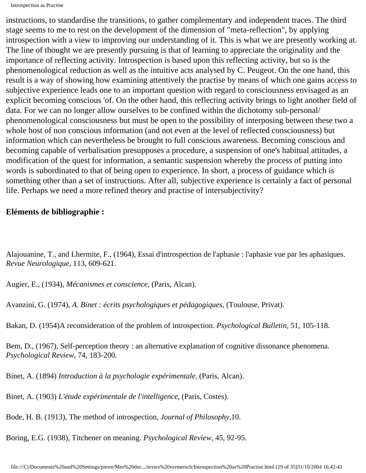instructions, to standardise the transitions, to gather complementary and independent traces. The third stage seems to me to rest on the development of the dimension of "meta-reflection", by applying introspection with a view to improving our understanding of it. This is what we are presently working at. The line of thought we are presently pursuing is that of learning to appreciate the originality and the importance of reflecting activity. Introspection is based upon this reflecting activity, but so is the phenomenological reduction as well as the intuitive acts analysed by C. Peugeot. On the one hand, this result is a way of showing how examining attentively the practise by means of which one gains access to subjective experience leads one to an important question with regard to consciousness envisaged as an explicit becoming conscious 'of. On the other hand, this reflecting activity brings to light another field of data. For we can no longer allow ourselves to be confined within the dichotomy sub-personal/ phenomenological consciousness but must be open to the possibility of interposing between these two a whole host of non conscious information (and not even at the level of reflected consciousness) but information which can nevertheless be brought to full conscious awareness. Becoming conscious and becoming capable of verbalisation presupposes a procedure, a suspension of one's habitual attitudes, a modification of the quest for information, a semantic suspension whereby the process of putting into words is subordinated to that of being open to experience. In short, a process of guidance which is something other than a set of instructions. After all, subjective experience is certainly a fact of personal life. Perhaps we need a more refined theory and practise of intersubjectivity?

#### **Eléments de bibliographie :**

Alajouanine, T., and Lhermite, F., (1964), Essai d'introspection de l'aphasie : l'aphasie vue par les aphasiques. *Revue Neurologique*, 113, 609-621.

Augier, E., (1934), *Mécanismes et conscience*, (Paris, Alcan).

Avanzini, G. (1974), *A. Binet : écrits psychologiques et pédagogiques*, (Toulouse, Privat).

Bakan, D. (1954)A reconsideration of the problem of introspection. *Psychological Bulletin*, 51, 105-118.

Bem, D., (1967), Self-perception theory : an alternative explanation of cognitive dissonance phenomena. *Psychological Review*, 74, 183-200.

Binet, A. (1894) *Introduction à la psychologie expérimentale*, (Paris, Alcan).

Binet, A. (1903) *L'étude expérimentale de l'intelligence*, (Paris, Costes).

Bode, H. B. (1913), The method of introspection, *Journal of Philosophy*,10.

Boring, E.G. (1938), Titchener on meaning. *Psychological Review*, 45, 92-95.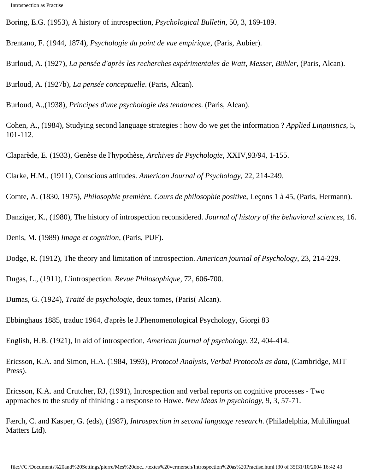Boring, E.G. (1953), A history of introspection, *Psychological Bulletin*, 50, 3, 169-189.

Brentano, F. (1944, 1874), *Psychologie du point de vue empirique*, (Paris, Aubier).

Burloud, A. (1927), *La pensée d'après les recherches expérimentales de Watt, Messer, Bühler*, (Paris, Alcan).

Burloud, A. (1927b), *La pensée conceptuelle*. (Paris, Alcan).

Burloud, A.,(1938), *Principes d'une psychologie des tendances*. (Paris, Alcan).

Cohen, A., (1984), Studying second language strategies : how do we get the information ? *Applied Linguistics*, 5, 101-112.

Claparède, E. (1933), Genèse de l'hypothèse, *Archives de Psychologie*, XXIV,93/94, 1-155.

Clarke, H.M., (1911), Conscious attitudes. *American Journal of Psychology*, 22, 214-249.

Comte, A. (1830, 1975), *Philosophie première. Cours de philosophie positive*, Leçons 1 à 45, (Paris, Hermann).

Danziger, K., (1980), The history of introspection reconsidered. *Journal of history of the behavioral sciences*, 16.

Denis, M. (1989) *Image et cognition*, (Paris, PUF).

Dodge, R. (1912), The theory and limitation of introspection. *American journal of Psychology*, 23, 214-229.

Dugas, L., (1911), L'introspection. *Revue Philosophique*, 72, 606-700.

Dumas, G. (1924), *Traité de psychologie*, deux tomes, (Paris( Alcan).

Ebbinghaus 1885, traduc 1964, d'après le J.Phenomenological Psychology, Giorgi 83

English, H.B. (1921), In aid of introspection, *American journal of psychology*, 32, 404-414.

Ericsson, K.A. and Simon, H.A. (1984, 1993), *Protocol Analysis, Verbal Protocols as data*, (Cambridge, MIT Press).

Ericsson, K.A. and Crutcher, RJ, (1991), Introspection and verbal reports on cognitive processes - Two approaches to the study of thinking : a response to Howe. *New ideas in psychology*, 9, 3, 57-71.

Færch, C. and Kasper, G. (eds), (1987), *Introspection in second language research*. (Philadelphia, Multilingual Matters Ltd).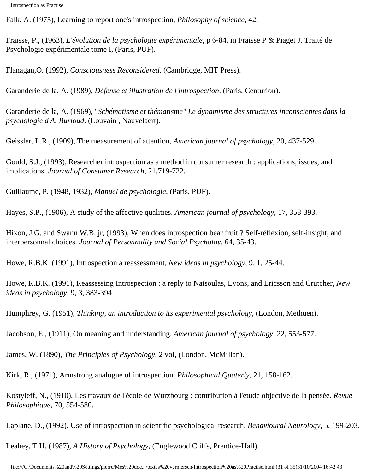Falk, A. (1975), Learning to report one's introspection, *Philosophy of science*, 42.

Fraisse, P., (1963), *L'évolution de la psychologie expérimentale,* p 6-84, in Fraisse P & Piaget J. Traité de Psychologie expérimentale tome I, (Paris, PUF).

Flanagan,O. (1992), *Consciousness Reconsidered*, (Cambridge, MIT Press).

Garanderie de la, A. (1989), *Défense et illustration de l'introspection*. (Paris, Centurion).

Garanderie de la, A. (1969), "*Schématisme et thématisme" Le dynamisme des structures inconscientes dans la psychologie d'A. Burloud*. (Louvain , Nauvelaert).

Geissler, L.R., (1909), The measurement of attention, *American journal of psychology,* 20, 437-529.

Gould, S.J., (1993), Researcher introspection as a method in consumer research : applications, issues, and implications. *Journal of Consumer Research*, 21,719-722.

Guillaume, P. (1948, 1932), *Manuel de psychologie*, (Paris, PUF).

Hayes, S.P., (1906), A study of the affective qualities. *American journal of psychology*, 17, 358-393.

Hixon, J.G. and Swann W.B. jr, (1993), When does introspection bear fruit ? Self-réflexion, self-insight, and interpersonnal choices. *Journal of Personnality and Social Psycholoy*, 64, 35-43.

Howe, R.B.K. (1991), Introspection a reassessment, *New ideas in psychology*, 9, 1, 25-44.

Howe, R.B.K. (1991), Reassessing Introspection : a reply to Natsoulas, Lyons, and Ericsson and Crutcher, *New ideas in psychology*, 9, 3, 383-394.

Humphrey, G. (1951), *Thinking, an introduction to its experimental psychology*, (London, Methuen).

Jacobson, E., (1911), On meaning and understanding. *American journal of psychology*, 22, 553-577.

James, W. (1890), *The Principles of Psychology*, 2 vol, (London, McMillan).

Kirk, R., (1971), Armstrong analogue of introspection. *Philosophical Quaterly*, 21, 158-162.

Kostyleff, N., (1910), Les travaux de l'école de Wurzbourg : contribution à l'étude objective de la pensée. *Revue Philosophique*, 70, 554-580.

Laplane, D., (1992), Use of introspection in scientific psychological research. *Behavioural Neurology*, 5, 199-203.

Leahey, T.H. (1987), *A History of Psychology*, (Englewood Cliffs, Prentice-Hall).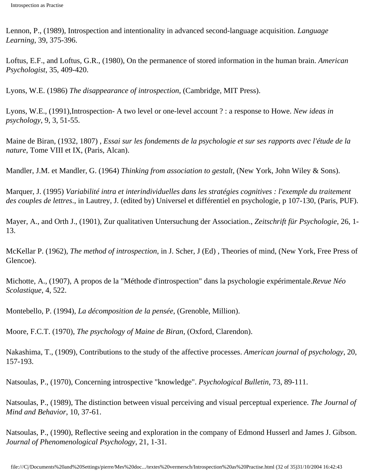Lennon, P., (1989), Introspection and intentionality in advanced second-language acquisition. *Language Learning*, 39, 375-396.

Loftus, E.F., and Loftus, G.R., (1980), On the permanence of stored information in the human brain. *American Psychologist*, 35, 409-420.

Lyons, W.E. (1986) *The disappearance of introspection*, (Cambridge, MIT Press).

Lyons, W.E., (1991),Introspection- A two level or one-level account ? : a response to Howe. *New ideas in psychology*, 9, 3, 51-55.

Maine de Biran, (1932, 1807) , *Essai sur les fondements de la psychologie et sur ses rapports avec l'étude de la nature*, Tome VIII et IX, (Paris, Alcan).

Mandler, J.M. et Mandler, G. (1964) *Thinking from association to gestalt,* (New York, John Wiley & Sons).

Marquer, J. (1995) *Variabilité intra et interindividuelles dans les stratégies cognitives : l'exemple du traitement des couples de lettres*., in Lautrey, J. (edited by) Universel et différentiel en psychologie, p 107-130, (Paris, PUF).

Mayer, A., and Orth J., (1901), Zur qualitativen Untersuchung der Association., *Zeitschrift für Psychologie*, 26, 1- 13.

McKellar P. (1962), *The method of introspection*, in J. Scher, J (Ed) , Theories of mind, (New York, Free Press of Glencoe).

Michotte, A., (1907), A propos de la "Méthode d'introspection" dans la psychologie expérimentale.*Revue Néo Scolastique*, 4, 522.

Montebello, P. (1994), *La décomposition de la pensée*, (Grenoble, Million).

Moore, F.C.T. (1970), *The psychology of Maine de Biran*, (Oxford, Clarendon).

Nakashima, T., (1909), Contributions to the study of the affective processes. *American journal of psychology*, 20, 157-193.

Natsoulas, P., (1970), Concerning introspective "knowledge". *Psychological Bulletin*, 73, 89-111.

Natsoulas, P., (1989), The distinction between visual perceiving and visual perceptual experience. *The Journal of Mind and Behavior*, 10, 37-61.

Natsoulas, P., (1990), Reflective seeing and exploration in the company of Edmond Husserl and James J. Gibson. *Journal of Phenomenological Psychology*, 21, 1-31.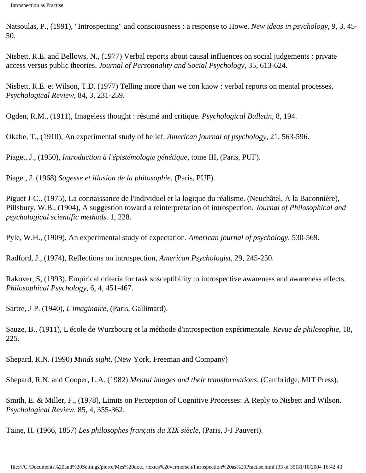Natsoulas, P., (1991), "Introspecting" and consciousness : a response to Howe. *New ideas in psychology*, 9, 3, 45- 50.

Nisbett, R.E. and Bellows, N., (1977) Verbal reports about causal influences on social judgements : private access versus public theories. *Journal of Personnality and Social Psychology*, 35, 613-624.

Nisbett, R.E. et Wilson, T.D. (1977) Telling more than we con know : verbal reports on mental processes, *Psychological Review*, 84, 3, 231-259.

Ogden, R.M., (1911), Imageless thought : résumé and critique. *Psychological Bulletin*, 8, 194.

Okabe, T., (1910), An experimental study of belief. *American journal of psychology*, 21, 563-596.

Piaget, J., (1950), *Introduction à l'épistémologie génétique*, tome III, (Paris, PUF).

Piaget, J. (1968) *Sagesse et illusion de la philosophie*, (Paris, PUF).

Piguet J-C., (1975), La connaissance de l'individuel et la logique du réalisme. (Neuchâtel, A la Baconnière), Pillsbury, W.B., (1904), A suggestion toward a reinterpretation of introspection. *Journal of Philosophical and psychological scientific methods.* 1, 228.

Pyle, W.H., (1909), An experimental study of expectation. *American journal of psychology*, 530-569.

Radford, J., (1974), Reflections on introspection, *American Psychologist*, 29, 245-250.

Rakover, S, (1993), Empirical criteria for task susceptibility to introspective awareness and awareness effects. *Philosophical Psychology*, 6, 4, 451-467.

Sartre, J-P. (1940), *L'imaginaire*, (Paris, Gallimard).

Sauze, B., (1911), L'école de Wurzbourg et la méthode d'introspection expérimentale. *Revue de philosophie*, 18, 225.

Shepard, R.N. (1990) *Minds sight*, (New York, Freeman and Company)

Shepard, R.N. and Cooper, L.A. (1982) *Mental images and their transformations*, (Cambridge, MIT Press).

Smith, E. & Miller, F., (1978), Limits on Perception of Cognitive Processes: A Reply to Nisbett and Wilson. *Psychological Review*. 85, 4, 355-362.

Taine, H. (1966, 1857) *Les philosophes français du XIX siècle*, (Paris, J-J Pauvert).